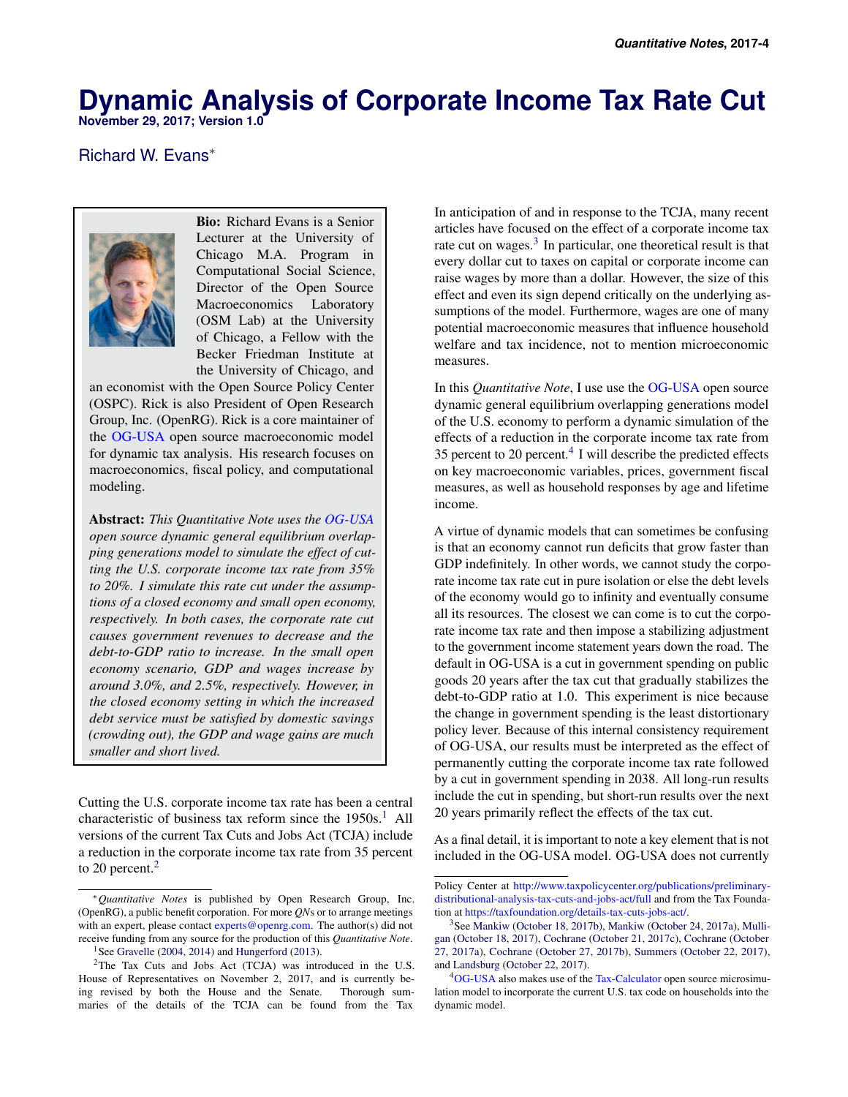# **Dynamic Analysis of Corporate Income Tax Rate Cut**

**November 29, 2017; Version 1.0**

# Richard W. Evans<sup>∗</sup>



Bio: Richard Evans is a Senior Lecturer at the University of Chicago M.A. Program in Computational Social Science, Director of the Open Source Macroeconomics Laboratory (OSM Lab) at the University of Chicago, a Fellow with the Becker Friedman Institute at the University of Chicago, and

an economist with the Open Source Policy Center (OSPC). Rick is also President of Open Research Group, Inc. (OpenRG). Rick is a core maintainer of the [OG-USA](https://github.com/open-source-economics/OG-USA) open source macroeconomic model for dynamic tax analysis. His research focuses on macroeconomics, fiscal policy, and computational modeling.

Abstract: *This Quantitative Note uses the [OG-USA](https://github.com/open-source-economics/OG-USA) open source dynamic general equilibrium overlapping generations model to simulate the effect of cutting the U.S. corporate income tax rate from 35% to 20%. I simulate this rate cut under the assumptions of a closed economy and small open economy, respectively. In both cases, the corporate rate cut causes government revenues to decrease and the debt-to-GDP ratio to increase. In the small open economy scenario, GDP and wages increase by around 3.0%, and 2.5%, respectively. However, in the closed economy setting in which the increased debt service must be satisfied by domestic savings (crowding out), the GDP and wage gains are much smaller and short lived.*

Cutting the U.S. corporate income tax rate has been a central characteristic of business tax reform since the  $1950s<sup>1</sup>$  $1950s<sup>1</sup>$ . All versions of the current Tax Cuts and Jobs Act (TCJA) include a reduction in the corporate income tax rate from 35 percent to [2](#page-0-1)0 percent.<sup>2</sup>

In anticipation of and in response to the TCJA, many recent articles have focused on the effect of a corporate income tax rate cut on wages.<sup>[3](#page-0-2)</sup> In particular, one theoretical result is that every dollar cut to taxes on capital or corporate income can raise wages by more than a dollar. However, the size of this effect and even its sign depend critically on the underlying assumptions of the model. Furthermore, wages are one of many potential macroeconomic measures that influence household welfare and tax incidence, not to mention microeconomic measures.

In this *Quantitative Note*, I use use the [OG-USA](https://github.com/open-source-economics/OG-USA) open source dynamic general equilibrium overlapping generations model of the U.S. economy to perform a dynamic simulation of the effects of a reduction in the corporate income tax rate from 35 percent to 20 percent. $4$  I will describe the predicted effects on key macroeconomic variables, prices, government fiscal measures, as well as household responses by age and lifetime income.

A virtue of dynamic models that can sometimes be confusing is that an economy cannot run deficits that grow faster than GDP indefinitely. In other words, we cannot study the corporate income tax rate cut in pure isolation or else the debt levels of the economy would go to infinity and eventually consume all its resources. The closest we can come is to cut the corporate income tax rate and then impose a stabilizing adjustment to the government income statement years down the road. The default in OG-USA is a cut in government spending on public goods 20 years after the tax cut that gradually stabilizes the debt-to-GDP ratio at 1.0. This experiment is nice because the change in government spending is the least distortionary policy lever. Because of this internal consistency requirement of OG-USA, our results must be interpreted as the effect of permanently cutting the corporate income tax rate followed by a cut in government spending in 2038. All long-run results include the cut in spending, but short-run results over the next 20 years primarily reflect the effects of the tax cut.

As a final detail, it is important to note a key element that is not included in the OG-USA model. OG-USA does not currently

<sup>∗</sup>*Quantitative Notes* is published by Open Research Group, Inc. (OpenRG), a public benefit corporation. For more *QN*s or to arrange meetings with an expert, please contact experts @openrg.com. The author(s) did not receive funding from any source for the production of this *Quantitative Note*. <sup>1</sup>See [Gravelle](#page-5-0) [\(2004,](#page-5-0) [2014\)](#page-5-1) and [Hungerford](#page-5-2) [\(2013\)](#page-5-2).

<span id="page-0-1"></span><span id="page-0-0"></span><sup>&</sup>lt;sup>2</sup>The Tax Cuts and Jobs Act (TCJA) was introduced in the U.S. House of Representatives on November 2, 2017, and is currently being revised by both the House and the Senate. Thorough summaries of the details of the TCJA can be found from the Tax

Policy Center at [http://www.taxpolicycenter.org/publications/preliminary](http://www.taxpolicycenter.org/publications/preliminary-distributional-analysis-tax-cuts-and-jobs-act/full)[distributional-analysis-tax-cuts-and-jobs-act/full](http://www.taxpolicycenter.org/publications/preliminary-distributional-analysis-tax-cuts-and-jobs-act/full) and from the Tax Foundation at [https://taxfoundation.org/details-tax-cuts-jobs-act/.](https://taxfoundation.org/details-tax-cuts-jobs-act/)

<span id="page-0-2"></span><sup>&</sup>lt;sup>3</sup>See [Mankiw](#page-5-4) [\(October 18, 2017b\)](#page-5-3), Mankiw [\(October 24, 2017a\)](#page-5-4), [Mulli](#page-5-5)[gan](#page-5-5) [\(October 18, 2017\)](#page-5-5), [Cochrane](#page-5-6) [\(October 21, 2017c\)](#page-5-6), [Cochrane](#page-5-7) [\(October](#page-5-7) [27, 2017a\)](#page-5-7), [Cochrane](#page-5-8) [\(October 27, 2017b\)](#page-5-8), [Summers](#page-5-9) [\(October 22, 2017\)](#page-5-9), and [Landsburg](#page-5-10) [\(October 22, 2017\)](#page-5-10).

<span id="page-0-3"></span><sup>&</sup>lt;sup>4</sup>[OG-USA](https://github.com/open-source-economics/OG-USA) also makes use of the [Tax-Calculator](https://github.com/open-source-economics/Tax-Calculator) open source microsimulation model to incorporate the current U.S. tax code on households into the dynamic model.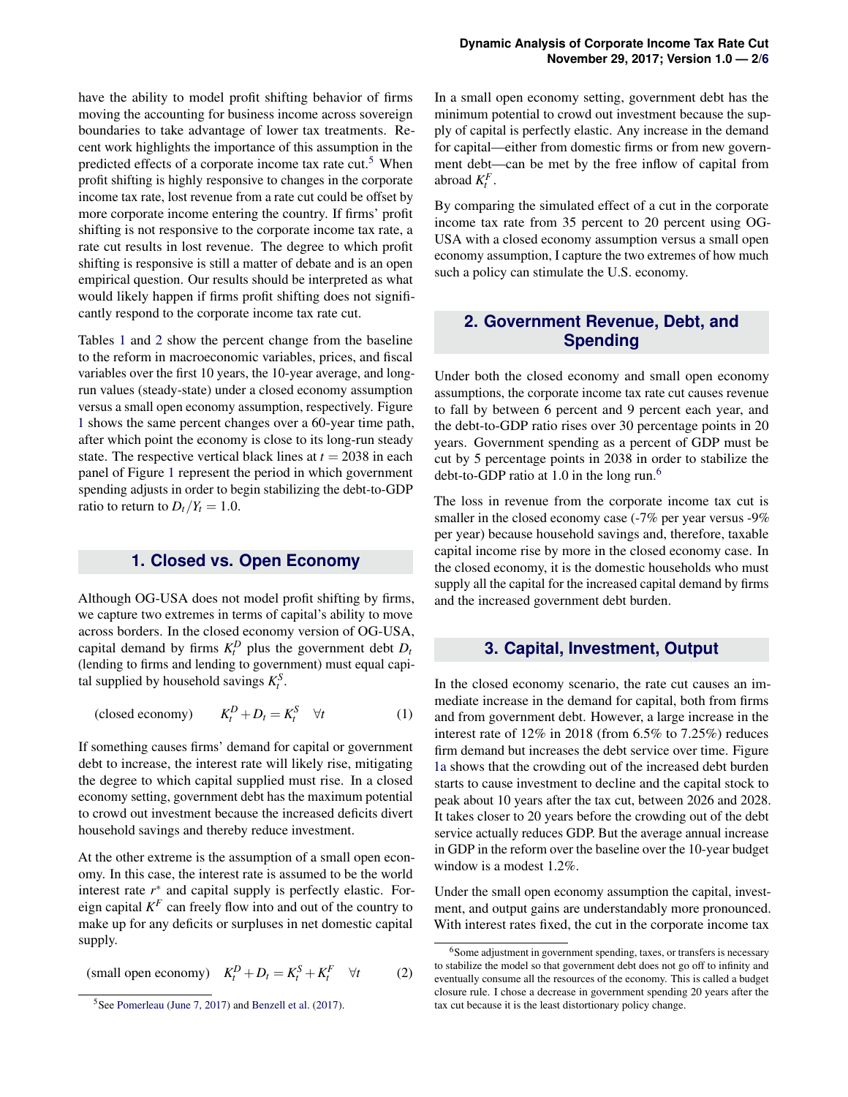have the ability to model profit shifting behavior of firms moving the accounting for business income across sovereign boundaries to take advantage of lower tax treatments. Recent work highlights the importance of this assumption in the predicted effects of a corporate income tax rate cut.<sup>[5](#page-1-0)</sup> When profit shifting is highly responsive to changes in the corporate income tax rate, lost revenue from a rate cut could be offset by more corporate income entering the country. If firms' profit shifting is not responsive to the corporate income tax rate, a rate cut results in lost revenue. The degree to which profit shifting is responsive is still a matter of debate and is an open empirical question. Our results should be interpreted as what would likely happen if firms profit shifting does not significantly respond to the corporate income tax rate cut.

Tables [1](#page-3-0) and [2](#page-3-1) show the percent change from the baseline to the reform in macroeconomic variables, prices, and fiscal variables over the first 10 years, the 10-year average, and longrun values (steady-state) under a closed economy assumption versus a small open economy assumption, respectively. Figure [1](#page-4-0) shows the same percent changes over a 60-year time path, after which point the economy is close to its long-run steady state. The respective vertical black lines at  $t = 2038$  in each panel of Figure [1](#page-4-0) represent the period in which government spending adjusts in order to begin stabilizing the debt-to-GDP ratio to return to  $D_t/Y_t = 1.0$ .

### **1. Closed vs. Open Economy**

Although OG-USA does not model profit shifting by firms, we capture two extremes in terms of capital's ability to move across borders. In the closed economy version of OG-USA, capital demand by firms  $K_t^D$  plus the government debt  $D_t$ (lending to firms and lending to government) must equal capital supplied by household savings  $K_t^S$ .

(closed economy) *K*  $E_t^D + D_t = K_t^S \quad \forall t$  (1)

If something causes firms' demand for capital or government debt to increase, the interest rate will likely rise, mitigating the degree to which capital supplied must rise. In a closed economy setting, government debt has the maximum potential to crowd out investment because the increased deficits divert household savings and thereby reduce investment.

At the other extreme is the assumption of a small open economy. In this case, the interest rate is assumed to be the world interest rate *r* ∗ and capital supply is perfectly elastic. Foreign capital  $K^F$  can freely flow into and out of the country to make up for any deficits or surpluses in net domestic capital supply.

(small open economy)  $K_t^D + D_t = K_t^S + K_t^F \quad \forall t$  (2)

In a small open economy setting, government debt has the minimum potential to crowd out investment because the supply of capital is perfectly elastic. Any increase in the demand for capital—either from domestic firms or from new government debt—can be met by the free inflow of capital from abroad  $K_t^F$ .

By comparing the simulated effect of a cut in the corporate income tax rate from 35 percent to 20 percent using OG-USA with a closed economy assumption versus a small open economy assumption, I capture the two extremes of how much such a policy can stimulate the U.S. economy.

## **2. Government Revenue, Debt, and Spending**

Under both the closed economy and small open economy assumptions, the corporate income tax rate cut causes revenue to fall by between 6 percent and 9 percent each year, and the debt-to-GDP ratio rises over 30 percentage points in 20 years. Government spending as a percent of GDP must be cut by 5 percentage points in 2038 in order to stabilize the debt-to-GDP ratio at 1.0 in the long run.<sup>[6](#page-1-1)</sup>

The loss in revenue from the corporate income tax cut is smaller in the closed economy case (-7% per year versus -9% per year) because household savings and, therefore, taxable capital income rise by more in the closed economy case. In the closed economy, it is the domestic households who must supply all the capital for the increased capital demand by firms and the increased government debt burden.

#### **3. Capital, Investment, Output**

In the closed economy scenario, the rate cut causes an immediate increase in the demand for capital, both from firms and from government debt. However, a large increase in the interest rate of 12% in 2018 (from 6.5% to 7.25%) reduces firm demand but increases the debt service over time. Figure [1a](#page-4-0) shows that the crowding out of the increased debt burden starts to cause investment to decline and the capital stock to peak about 10 years after the tax cut, between 2026 and 2028. It takes closer to 20 years before the crowding out of the debt service actually reduces GDP. But the average annual increase in GDP in the reform over the baseline over the 10-year budget window is a modest 1.2%.

Under the small open economy assumption the capital, investment, and output gains are understandably more pronounced. With interest rates fixed, the cut in the corporate income tax

<span id="page-1-0"></span><sup>&</sup>lt;sup>5</sup>See [Pomerleau](#page-5-12) [\(June 7, 2017\)](#page-5-12) and [Benzell et al.](#page-5-13) [\(2017\)](#page-5-13).

<span id="page-1-1"></span><sup>&</sup>lt;sup>6</sup>Some adjustment in government spending, taxes, or transfers is necessary to stabilize the model so that government debt does not go off to infinity and eventually consume all the resources of the economy. This is called a budget closure rule. I chose a decrease in government spending 20 years after the tax cut because it is the least distortionary policy change.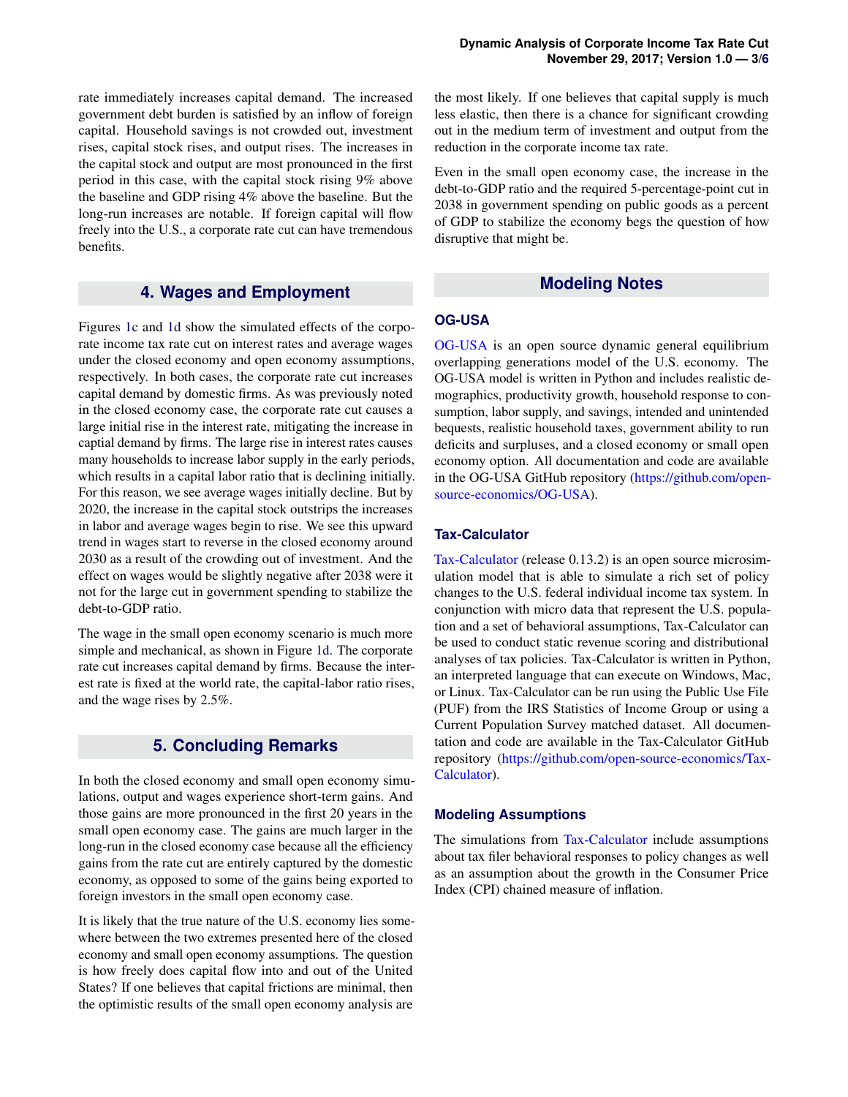rate immediately increases capital demand. The increased government debt burden is satisfied by an inflow of foreign capital. Household savings is not crowded out, investment rises, capital stock rises, and output rises. The increases in the capital stock and output are most pronounced in the first period in this case, with the capital stock rising 9% above the baseline and GDP rising 4% above the baseline. But the long-run increases are notable. If foreign capital will flow freely into the U.S., a corporate rate cut can have tremendous benefits.

## **4. Wages and Employment**

Figures [1c](#page-4-0) and [1d](#page-4-0) show the simulated effects of the corporate income tax rate cut on interest rates and average wages under the closed economy and open economy assumptions, respectively. In both cases, the corporate rate cut increases capital demand by domestic firms. As was previously noted in the closed economy case, the corporate rate cut causes a large initial rise in the interest rate, mitigating the increase in captial demand by firms. The large rise in interest rates causes many households to increase labor supply in the early periods, which results in a capital labor ratio that is declining initially. For this reason, we see average wages initially decline. But by 2020, the increase in the capital stock outstrips the increases in labor and average wages begin to rise. We see this upward trend in wages start to reverse in the closed economy around 2030 as a result of the crowding out of investment. And the effect on wages would be slightly negative after 2038 were it not for the large cut in government spending to stabilize the debt-to-GDP ratio.

The wage in the small open economy scenario is much more simple and mechanical, as shown in Figure [1d.](#page-4-0) The corporate rate cut increases capital demand by firms. Because the interest rate is fixed at the world rate, the capital-labor ratio rises, and the wage rises by 2.5%.

## **5. Concluding Remarks**

In both the closed economy and small open economy simulations, output and wages experience short-term gains. And those gains are more pronounced in the first 20 years in the small open economy case. The gains are much larger in the long-run in the closed economy case because all the efficiency gains from the rate cut are entirely captured by the domestic economy, as opposed to some of the gains being exported to foreign investors in the small open economy case.

It is likely that the true nature of the U.S. economy lies somewhere between the two extremes presented here of the closed economy and small open economy assumptions. The question is how freely does capital flow into and out of the United States? If one believes that capital frictions are minimal, then the optimistic results of the small open economy analysis are

the most likely. If one believes that capital supply is much less elastic, then there is a chance for significant crowding out in the medium term of investment and output from the reduction in the corporate income tax rate.

Even in the small open economy case, the increase in the debt-to-GDP ratio and the required 5-percentage-point cut in 2038 in government spending on public goods as a percent of GDP to stabilize the economy begs the question of how disruptive that might be.

## **Modeling Notes**

### **OG-USA**

[OG-USA](https://github.com/open-source-economics/OG-USA) is an open source dynamic general equilibrium overlapping generations model of the U.S. economy. The OG-USA model is written in Python and includes realistic demographics, productivity growth, household response to consumption, labor supply, and savings, intended and unintended bequests, realistic household taxes, government ability to run deficits and surpluses, and a closed economy or small open economy option. All documentation and code are available in the OG-USA GitHub repository [\(https://github.com/open](https://github.com/open-source-economics/OG-USA)[source-economics/OG-USA\)](https://github.com/open-source-economics/OG-USA).

## **Tax-Calculator**

[Tax-Calculator](https://github.com/open-source-economics/Tax-Calculator) (release 0.13.2) is an open source microsimulation model that is able to simulate a rich set of policy changes to the U.S. federal individual income tax system. In conjunction with micro data that represent the U.S. population and a set of behavioral assumptions, Tax-Calculator can be used to conduct static revenue scoring and distributional analyses of tax policies. Tax-Calculator is written in Python, an interpreted language that can execute on Windows, Mac, or Linux. Tax-Calculator can be run using the Public Use File (PUF) from the IRS Statistics of Income Group or using a Current Population Survey matched dataset. All documentation and code are available in the Tax-Calculator GitHub repository [\(https://github.com/open-source-economics/Tax-](https://github.com/open-source-economics/Tax-Calculator)[Calculator\)](https://github.com/open-source-economics/Tax-Calculator).

#### **Modeling Assumptions**

The simulations from [Tax-Calculator](https://github.com/open-source-economics/Tax-Calculator) include assumptions about tax filer behavioral responses to policy changes as well as an assumption about the growth in the Consumer Price Index (CPI) chained measure of inflation.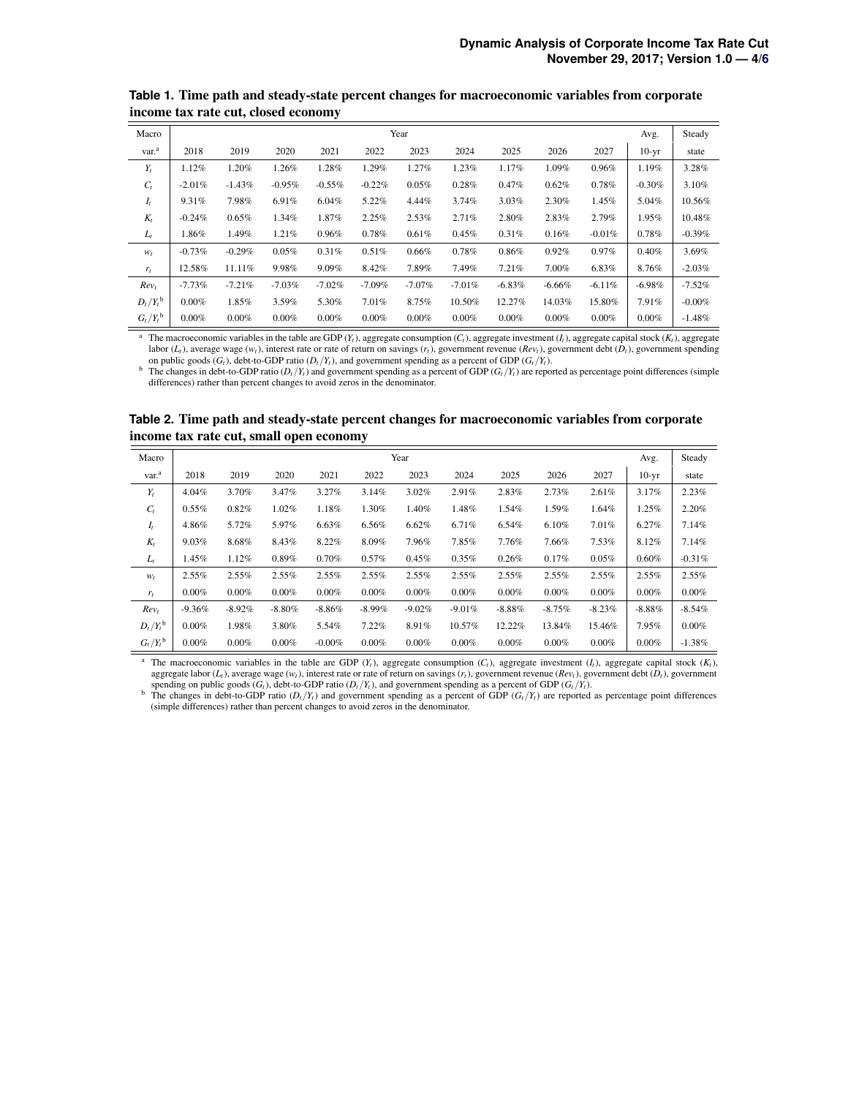| Macro                  | Year      |          |          |           |           |           |           |          |          | Avg.     | Steady   |          |
|------------------------|-----------|----------|----------|-----------|-----------|-----------|-----------|----------|----------|----------|----------|----------|
| var. <sup>a</sup>      | 2018      | 2019     | 2020     | 2021      | 2022      | 2023      | 2024      | 2025     | 2026     | 2027     | $10-yr$  | state    |
| $Y_t$                  | 1.12%     | 1.20%    | 1.26%    | 1.28%     | 1.29%     | 1.27%     | 1.23%     | 1.17%    | 1.09%    | 0.96%    | 1.19%    | 3.28%    |
| $C_t$                  | $-2.01\%$ | $-1.43%$ | $-0.95%$ | $-0.55%$  | $-0.22%$  | 0.05%     | 0.28%     | 0.47%    | 0.62%    | 0.78%    | $-0.30%$ | 3.10%    |
| $I_t$                  | 9.31%     | 7.98%    | 6.91%    | 6.04%     | 5.22%     | $4.44\%$  | 3.74%     | 3.03%    | 2.30%    | 1.45%    | 5.04%    | 10.56%   |
| $K_t$                  | $-0.24\%$ | 0.65%    | 1.34%    | 1.87%     | 2.25%     | 2.53%     | 2.71%     | 2.80%    | 2.83%    | 2.79%    | 1.95%    | 10.48%   |
| $L_t$                  | 1.86%     | 1.49%    | 1.21%    | 0.96%     | 0.78%     | 0.61%     | 0.45%     | 0.31%    | 0.16%    | $-0.01%$ | 0.78%    | $-0.39%$ |
| $W_t$                  | $-0.73%$  | $-0.29%$ | 0.05%    | 0.31%     | 0.51%     | 0.66%     | 0.78%     | 0.86%    | 0.92%    | 0.97%    | 0.40%    | 3.69%    |
| $r_t$                  | 12.58%    | 11.11%   | 9.98%    | $9.09\%$  | 8.42%     | 7.89%     | 7.49%     | 7.21%    | 7.00%    | 6.83%    | 8.76%    | $-2.03%$ |
| Rev <sub>t</sub>       | $-7.73%$  | $-7.21%$ | $-7.03%$ | $-7.02\%$ | $-7.09\%$ | $-7.07\%$ | $-7.01\%$ | $-6.83%$ | $-6.66%$ | $-6.11%$ | $-6.98%$ | $-7.52%$ |
| $D_t/Y_t^{\rm b}$      | $0.00\%$  | 1.85%    | 3.59%    | 5.30%     | 7.01%     | 8.75%     | 10.50%    | 12.27%   | 14.03%   | 15.80%   | 7.91%    | $-0.00%$ |
| $G_t/Y_t^{\mathsf{b}}$ | $0.00\%$  | 0.00%    | $0.00\%$ | $0.00\%$  | 0.00%     | $0.00\%$  | 0.00%     | 0.00%    | 0.00%    | 0.00%    | $0.00\%$ | $-1.48%$ |

<span id="page-3-0"></span>**Table 1.** Time path and steady-state percent changes for macroeconomic variables from corporate income tax rate cut, closed economy

The macroeconomic variables in the table are GDP ( $Y_t$ ), aggregate consumption ( $C_t$ ), aggregate investment ( $I_t$ ), aggregate capital stock ( $K_t$ ), aggregate labor (*Lt*), average wage (*wt*), interest rate or rate of return on savings (*rt*), government revenue (*Revt*), government debt (*Dt*), government spending on public goods  $(G_t)$ , debt-to-GDP ratio  $(D_t/Y_t)$ , and government spending as a percent of GDP  $(G_t/Y_t)$ .

b The changes in debt-to-GDP ratio  $(D_t/Y_t)$  and government spending as a percent of GDP  $(G_t/Y_t)$  are reported as percentage point differences (simple differences) rather than percent changes to avoid zeros in the denominator.

<span id="page-3-1"></span>

| Table 2. Time path and steady-state percent changes for macroeconomic variables from corporate |  |  |
|------------------------------------------------------------------------------------------------|--|--|
| income tax rate cut, small open economy                                                        |  |  |

| Macro                    | Year     |          |           |           |           |          |          |          |          | Avg.     | Steady   |          |
|--------------------------|----------|----------|-----------|-----------|-----------|----------|----------|----------|----------|----------|----------|----------|
| var. <sup>a</sup>        | 2018     | 2019     | 2020      | 2021      | 2022      | 2023     | 2024     | 2025     | 2026     | 2027     | $10-yr$  | state    |
| $Y_t$                    | 4.04%    | 3.70%    | 3.47%     | 3.27%     | 3.14%     | 3.02%    | 2.91%    | 2.83%    | 2.73%    | 2.61%    | 3.17%    | 2.23%    |
| $C_t$                    | 0.55%    | 0.82%    | 1.02%     | 1.18%     | 1.30%     | 1.40%    | 1.48%    | 1.54%    | 1.59%    | 1.64%    | 1.25%    | 2.20%    |
| $I_t$                    | 4.86%    | 5.72%    | 5.97%     | 6.63%     | 6.56%     | 6.62%    | 6.71%    | 6.54%    | 6.10%    | 7.01%    | 6.27%    | 7.14%    |
| $K_t$                    | 9.03%    | 8.68%    | 8.43%     | 8.22%     | 8.09%     | 7.96%    | 7.85%    | 7.76%    | 7.66%    | 7.53%    | 8.12%    | 7.14%    |
| $L_t$                    | 1.45%    | 1.12%    | 0.89%     | 0.70%     | 0.57%     | 0.45%    | 0.35%    | 0.26%    | 0.17%    | 0.05%    | 0.60%    | $-0.31%$ |
| $W_t$                    | 2.55%    | 2.55%    | 2.55%     | 2.55%     | 2.55%     | 2.55%    | 2.55%    | 2.55%    | 2.55%    | 2.55%    | 2.55%    | 2.55%    |
| $r_t$                    | $0.00\%$ | $0.00\%$ | $0.00\%$  | $0.00\%$  | $0.00\%$  | 0.00%    | 0.00%    | 0.00%    | 0.00%    | 0.00%    | 0.00%    | $0.00\%$ |
| Rev <sub>t</sub>         | $-9.36%$ | $-8.92%$ | $-8.80\%$ | $-8.86\%$ | $-8.99\%$ | $-9.02%$ | $-9.01%$ | $-8.88%$ | $-8.75%$ | $-8.23%$ | $-8.88%$ | $-8.54%$ |
| $D_t/Y_t^{\mathsf{b}}$   | 0.00%    | 1.98%    | 3.80%     | 5.54%     | 7.22%     | 8.91%    | 10.57%   | 12.22%   | 13.84%   | 15.46%   | 7.95%    | $0.00\%$ |
| $G_t/Y_t^{\mathfrak{b}}$ | 0.00%    | 0.00%    | 0.00%     | $-0.00\%$ | $0.00\%$  | 0.00%    | 0.00%    | 0.00%    | 0.00%    | 0.00%    | $0.00\%$ | $-1.38%$ |

<sup>a</sup> The macroeconomic variables in the table are GDP ( $Y_t$ ), aggregate consumption ( $C_t$ ), aggregate investment ( $I_t$ ), aggregate capital stock ( $K_t$ ), aggregate labor ( $L_t$ ), average wage ( $w_t$ ), interest rate or rate of spending on public goods  $(G_t)$ , debt-to-GDP ratio  $(D_t/Y_t)$ , and government spending as a percent of GDP  $(G_t/Y_t)$ .

<sup>b</sup> The changes in debt-to-GDP ratio  $(D_t/Y_t)$  and government spending as a percent of GDP  $(G_t/Y_t)$  are reported as percentage point differences (simple differences) rather than percent changes to avoid zeros in the denomina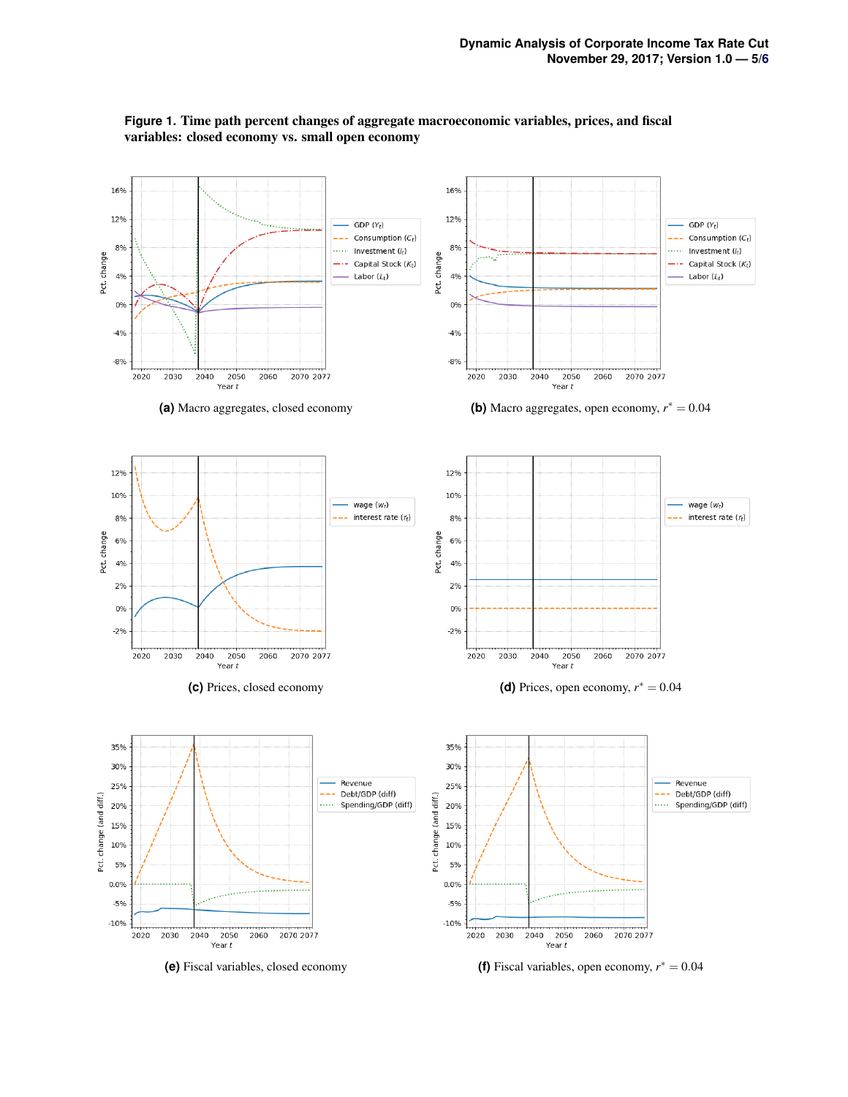<span id="page-4-0"></span>

## **Figure 1.** Time path percent changes of aggregate macroeconomic variables, prices, and fiscal variables: closed economy vs. small open economy